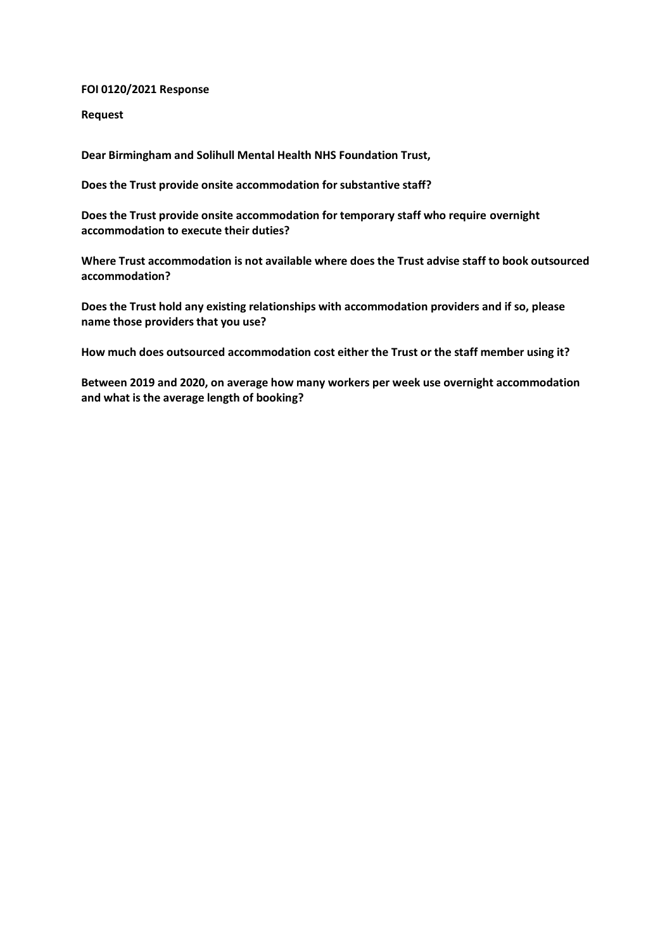### **FOI 0120/2021 Response**

**Request**

**Dear Birmingham and Solihull Mental Health NHS Foundation Trust,**

**Does the Trust provide onsite accommodation for substantive staff?**

**Does the Trust provide onsite accommodation for temporary staff who require overnight accommodation to execute their duties?**

**Where Trust accommodation is not available where does the Trust advise staff to book outsourced accommodation?**

**Does the Trust hold any existing relationships with accommodation providers and if so, please name those providers that you use?**

**How much does outsourced accommodation cost either the Trust or the staff member using it?**

**Between 2019 and 2020, on average how many workers per week use overnight accommodation and what is the average length of booking?**